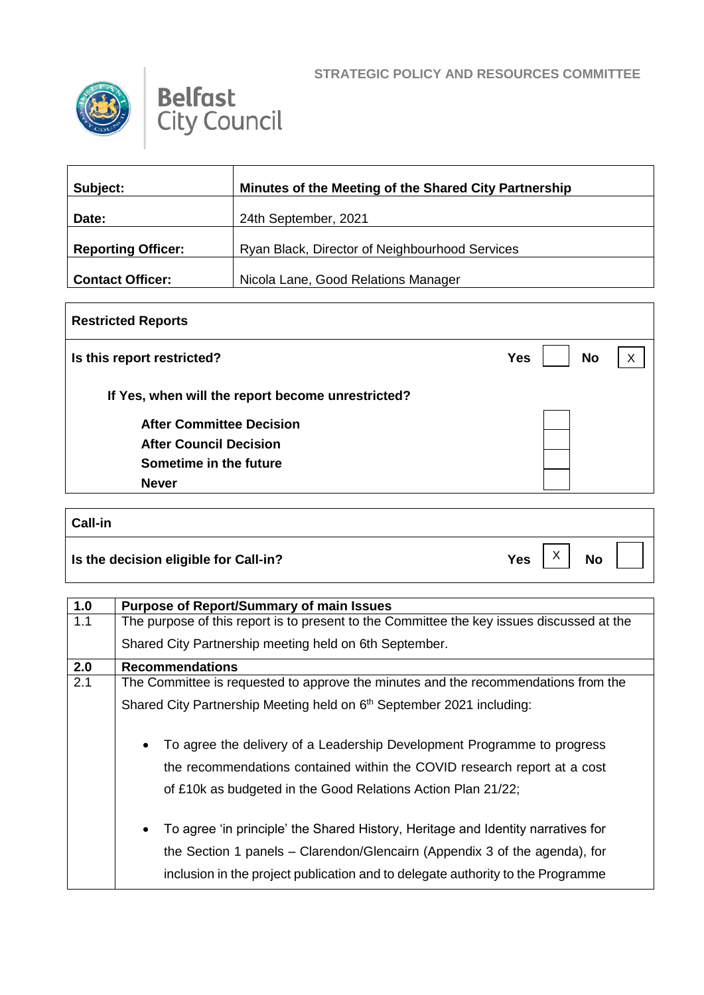

 $\Gamma$ 



| Subject:                  | Minutes of the Meeting of the Shared City Partnership |
|---------------------------|-------------------------------------------------------|
| Date:                     | 24th September, 2021                                  |
| <b>Reporting Officer:</b> | Ryan Black, Director of Neighbourhood Services        |
| <b>Contact Officer:</b>   | Nicola Lane, Good Relations Manager                   |

| <b>Restricted Reports</b>                         |                         |   |  |
|---------------------------------------------------|-------------------------|---|--|
| Is this report restricted?                        | <b>No</b><br><b>Yes</b> | X |  |
| If Yes, when will the report become unrestricted? |                         |   |  |
| <b>After Committee Decision</b>                   |                         |   |  |
| <b>After Council Decision</b>                     |                         |   |  |
| Sometime in the future                            |                         |   |  |
| <b>Never</b>                                      |                         |   |  |

| <b>Call-in</b>                        |            |                           |           |  |
|---------------------------------------|------------|---------------------------|-----------|--|
| Is the decision eligible for Call-in? | <b>Yes</b> | $\checkmark$<br>$\lambda$ | <b>No</b> |  |

| 1.0 | <b>Purpose of Report/Summary of main Issues</b>                                                                                                                                                                                                                |
|-----|----------------------------------------------------------------------------------------------------------------------------------------------------------------------------------------------------------------------------------------------------------------|
| 1.1 | The purpose of this report is to present to the Committee the key issues discussed at the                                                                                                                                                                      |
|     | Shared City Partnership meeting held on 6th September.                                                                                                                                                                                                         |
| 2.0 | <b>Recommendations</b>                                                                                                                                                                                                                                         |
| 2.1 | The Committee is requested to approve the minutes and the recommendations from the                                                                                                                                                                             |
|     | Shared City Partnership Meeting held on 6th September 2021 including:                                                                                                                                                                                          |
|     | To agree the delivery of a Leadership Development Programme to progress<br>$\bullet$<br>the recommendations contained within the COVID research report at a cost<br>of £10k as budgeted in the Good Relations Action Plan 21/22;                               |
|     | To agree 'in principle' the Shared History, Heritage and Identity narratives for<br>$\bullet$<br>the Section 1 panels - Clarendon/Glencairn (Appendix 3 of the agenda), for<br>inclusion in the project publication and to delegate authority to the Programme |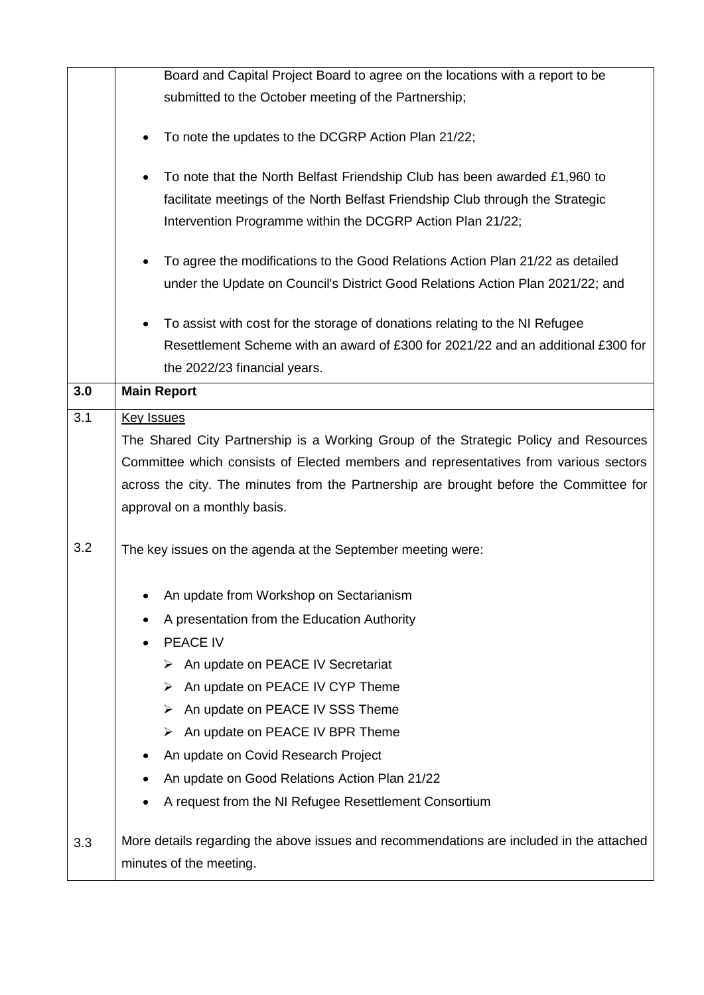|     | Board and Capital Project Board to agree on the locations with a report to be                                                                                                                                                                                                                                                                                                                                                                                                                                                                                             |
|-----|---------------------------------------------------------------------------------------------------------------------------------------------------------------------------------------------------------------------------------------------------------------------------------------------------------------------------------------------------------------------------------------------------------------------------------------------------------------------------------------------------------------------------------------------------------------------------|
|     | submitted to the October meeting of the Partnership;                                                                                                                                                                                                                                                                                                                                                                                                                                                                                                                      |
|     |                                                                                                                                                                                                                                                                                                                                                                                                                                                                                                                                                                           |
|     | To note the updates to the DCGRP Action Plan 21/22;                                                                                                                                                                                                                                                                                                                                                                                                                                                                                                                       |
|     | To note that the North Belfast Friendship Club has been awarded £1,960 to                                                                                                                                                                                                                                                                                                                                                                                                                                                                                                 |
|     | facilitate meetings of the North Belfast Friendship Club through the Strategic                                                                                                                                                                                                                                                                                                                                                                                                                                                                                            |
|     | Intervention Programme within the DCGRP Action Plan 21/22;                                                                                                                                                                                                                                                                                                                                                                                                                                                                                                                |
|     | To agree the modifications to the Good Relations Action Plan 21/22 as detailed                                                                                                                                                                                                                                                                                                                                                                                                                                                                                            |
|     | under the Update on Council's District Good Relations Action Plan 2021/22; and                                                                                                                                                                                                                                                                                                                                                                                                                                                                                            |
|     |                                                                                                                                                                                                                                                                                                                                                                                                                                                                                                                                                                           |
|     |                                                                                                                                                                                                                                                                                                                                                                                                                                                                                                                                                                           |
|     |                                                                                                                                                                                                                                                                                                                                                                                                                                                                                                                                                                           |
| 3.0 | <b>Main Report</b>                                                                                                                                                                                                                                                                                                                                                                                                                                                                                                                                                        |
|     |                                                                                                                                                                                                                                                                                                                                                                                                                                                                                                                                                                           |
|     |                                                                                                                                                                                                                                                                                                                                                                                                                                                                                                                                                                           |
|     |                                                                                                                                                                                                                                                                                                                                                                                                                                                                                                                                                                           |
|     |                                                                                                                                                                                                                                                                                                                                                                                                                                                                                                                                                                           |
|     |                                                                                                                                                                                                                                                                                                                                                                                                                                                                                                                                                                           |
|     |                                                                                                                                                                                                                                                                                                                                                                                                                                                                                                                                                                           |
| 3.2 | The key issues on the agenda at the September meeting were:                                                                                                                                                                                                                                                                                                                                                                                                                                                                                                               |
|     |                                                                                                                                                                                                                                                                                                                                                                                                                                                                                                                                                                           |
|     |                                                                                                                                                                                                                                                                                                                                                                                                                                                                                                                                                                           |
|     | A presentation from the Education Authority                                                                                                                                                                                                                                                                                                                                                                                                                                                                                                                               |
|     | PEACE IV                                                                                                                                                                                                                                                                                                                                                                                                                                                                                                                                                                  |
|     |                                                                                                                                                                                                                                                                                                                                                                                                                                                                                                                                                                           |
|     | An update on PEACE IV Secretariat<br>⋗                                                                                                                                                                                                                                                                                                                                                                                                                                                                                                                                    |
|     | An update on PEACE IV CYP Theme<br>⋗                                                                                                                                                                                                                                                                                                                                                                                                                                                                                                                                      |
|     | An update on PEACE IV SSS Theme                                                                                                                                                                                                                                                                                                                                                                                                                                                                                                                                           |
|     | An update on PEACE IV BPR Theme<br>➤                                                                                                                                                                                                                                                                                                                                                                                                                                                                                                                                      |
|     | An update on Covid Research Project                                                                                                                                                                                                                                                                                                                                                                                                                                                                                                                                       |
|     | An update on Good Relations Action Plan 21/22                                                                                                                                                                                                                                                                                                                                                                                                                                                                                                                             |
|     | A request from the NI Refugee Resettlement Consortium                                                                                                                                                                                                                                                                                                                                                                                                                                                                                                                     |
| 3.3 | More details regarding the above issues and recommendations are included in the attached                                                                                                                                                                                                                                                                                                                                                                                                                                                                                  |
| 3.1 | To assist with cost for the storage of donations relating to the NI Refugee<br>Resettlement Scheme with an award of £300 for 2021/22 and an additional £300 for<br>the 2022/23 financial years.<br><b>Key Issues</b><br>The Shared City Partnership is a Working Group of the Strategic Policy and Resources<br>Committee which consists of Elected members and representatives from various sectors<br>across the city. The minutes from the Partnership are brought before the Committee for<br>approval on a monthly basis.<br>An update from Workshop on Sectarianism |